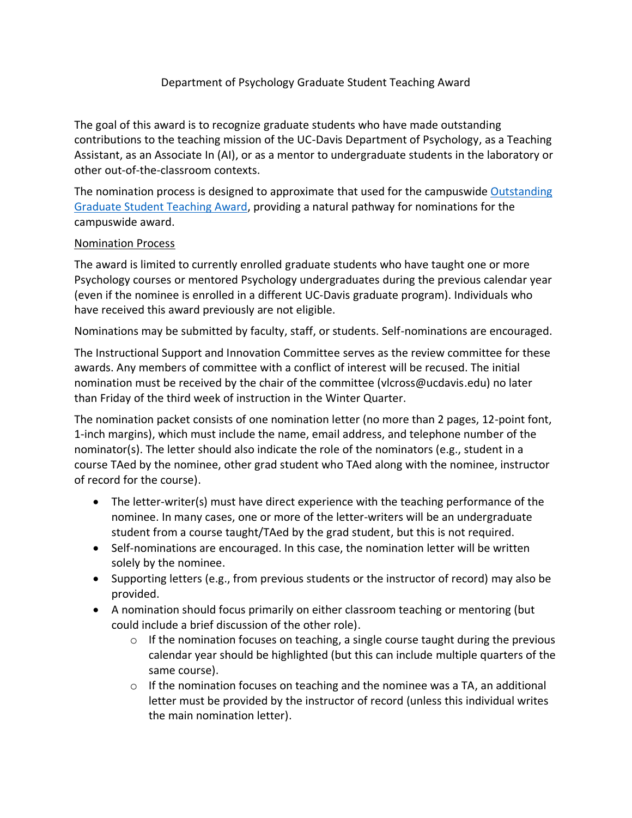## Department of Psychology Graduate Student Teaching Award

The goal of this award is to recognize graduate students who have made outstanding contributions to the teaching mission of the UC-Davis Department of Psychology, as a Teaching Assistant, as an Associate In (AI), or as a mentor to undergraduate students in the laboratory or other out-of-the-classroom contexts.

The nomination process is designed to approximate that used for the campuswide [Outstanding](https://grad.ucdavis.edu/faculty-staff/graduate-council/outstanding-graduate-student-teaching-award)  [Graduate Student Teaching Award,](https://grad.ucdavis.edu/faculty-staff/graduate-council/outstanding-graduate-student-teaching-award) providing a natural pathway for nominations for the campuswide award.

## Nomination Process

The award is limited to currently enrolled graduate students who have taught one or more Psychology courses or mentored Psychology undergraduates during the previous calendar year (even if the nominee is enrolled in a different UC-Davis graduate program). Individuals who have received this award previously are not eligible.

Nominations may be submitted by faculty, staff, or students. Self-nominations are encouraged.

The Instructional Support and Innovation Committee serves as the review committee for these awards. Any members of committee with a conflict of interest will be recused. The initial nomination must be received by the chair of the committee (vlcross@ucdavis.edu) no later than Friday of the third week of instruction in the Winter Quarter.

The nomination packet consists of one nomination letter (no more than 2 pages, 12-point font, 1-inch margins), which must include the name, email address, and telephone number of the nominator(s). The letter should also indicate the role of the nominators (e.g., student in a course TAed by the nominee, other grad student who TAed along with the nominee, instructor of record for the course).

- The letter-writer(s) must have direct experience with the teaching performance of the nominee. In many cases, one or more of the letter-writers will be an undergraduate student from a course taught/TAed by the grad student, but this is not required.
- Self-nominations are encouraged. In this case, the nomination letter will be written solely by the nominee.
- Supporting letters (e.g., from previous students or the instructor of record) may also be provided.
- A nomination should focus primarily on either classroom teaching or mentoring (but could include a brief discussion of the other role).
	- $\circ$  If the nomination focuses on teaching, a single course taught during the previous calendar year should be highlighted (but this can include multiple quarters of the same course).
	- $\circ$  If the nomination focuses on teaching and the nominee was a TA, an additional letter must be provided by the instructor of record (unless this individual writes the main nomination letter).